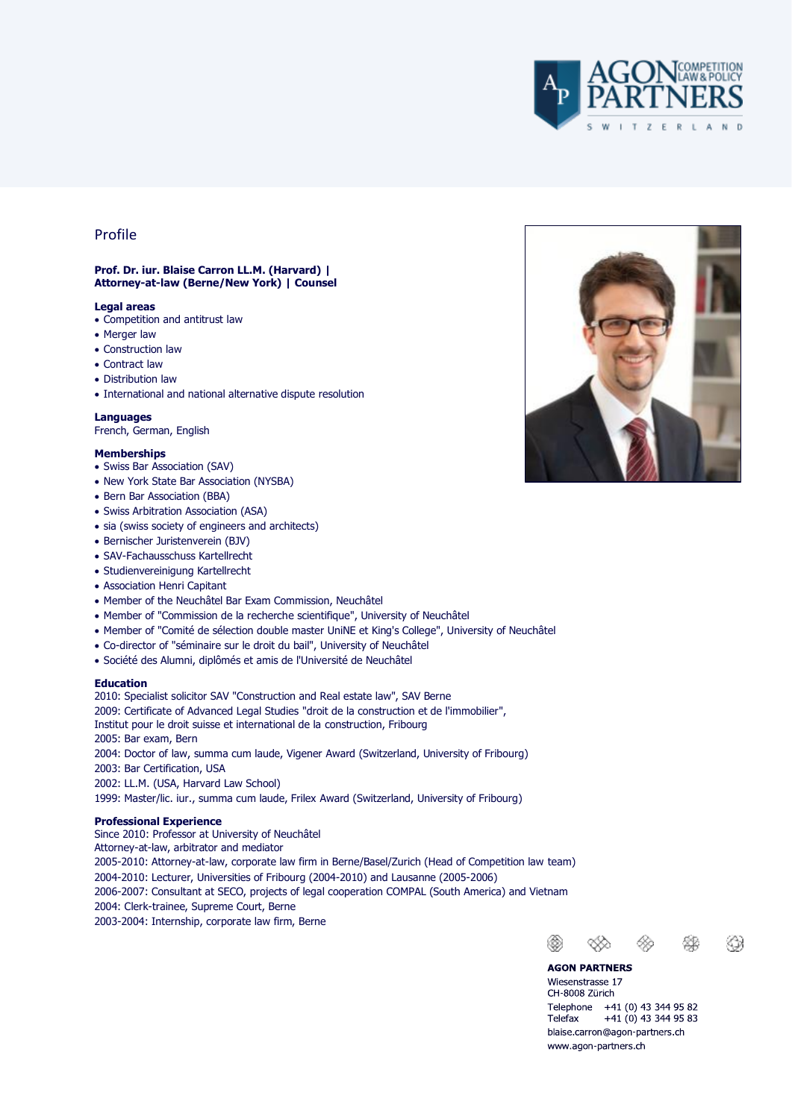

# Profile

## **Prof. Dr. iur. Blaise Carron LL.M. (Harvard) | Attorney-at-law (Berne/New York) | Counsel**

#### **Legal areas**

- Competition and antitrust law
- Merger law
- Construction law
- Contract law
- Distribution law
- International and national alternative dispute resolution

## **Languages**

French, German, English

#### **Memberships**

- Swiss Bar Association (SAV)
- New York State Bar Association (NYSBA)
- Bern Bar Association (BBA)
- Swiss Arbitration Association (ASA)
- sia (swiss society of engineers and architects)
- Bernischer Juristenverein (BJV)
- SAV-Fachausschuss Kartellrecht
- Studienvereinigung Kartellrecht
- Association Henri Capitant
- Member of the Neuchâtel Bar Exam Commission, Neuchâtel
- Member of "Commission de la recherche scientifique", University of Neuchâtel
- Member of "Comité de sélection double master UniNE et King's College", University of Neuchâtel
- Co-director of "séminaire sur le droit du bail", University of Neuchâtel
- Société des Alumni, diplômés et amis de l'Université de Neuchâtel

#### **Education**

2010: Specialist solicitor SAV "Construction and Real estate law", SAV Berne 2009: Certificate of Advanced Legal Studies "droit de la construction et de l'immobilier", Institut pour le droit suisse et international de la construction, Fribourg 2005: Bar exam, Bern 2004: Doctor of law, summa cum laude, Vigener Award (Switzerland, University of Fribourg) 2003: Bar Certification, USA 2002: LL.M. (USA, Harvard Law School)

1999: Master/lic. iur., summa cum laude, Frilex Award (Switzerland, University of Fribourg)

## **Professional Experience**

Since 2010: Professor at University of Neuchâtel Attorney-at-law, arbitrator and mediator 2005-2010: Attorney-at-law, corporate law firm in Berne/Basel/Zurich (Head of Competition law team) 2004-2010: Lecturer, Universities of Fribourg (2004-2010) and Lausanne (2005-2006) 2006-2007: Consultant at SECO, projects of legal cooperation COMPAL (South America) and Vietnam 2004: Clerk-trainee, Supreme Court, Berne 2003-2004: Internship, corporate law firm, Berne



❀

⊛

Telefax

**AGON PARTNERS** Wiesenstrasse 17 CH-8008 Zürich

Telephone +41 (0) 43 344 95 82

blaise.carron@agon-partners.ch www.agon-partners.ch

 $+41(0)$  43 344 95 83